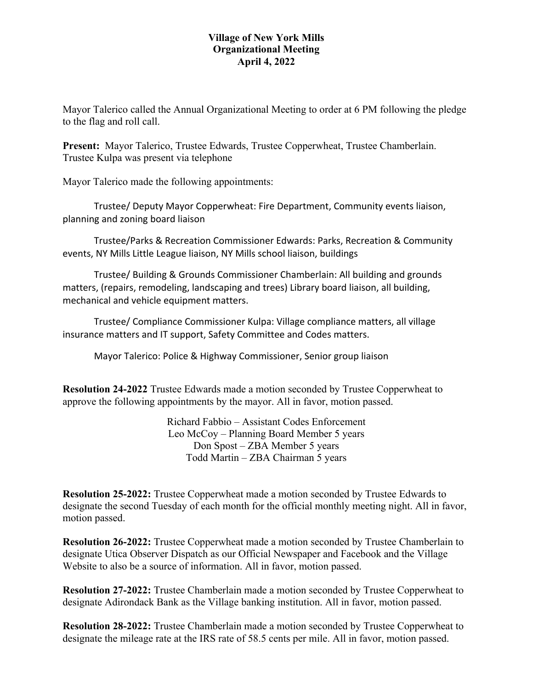## **Village of New York Mills Organizational Meeting April 4, 2022**

Mayor Talerico called the Annual Organizational Meeting to order at 6 PM following the pledge to the flag and roll call.

**Present:** Mayor Talerico, Trustee Edwards, Trustee Copperwheat, Trustee Chamberlain. Trustee Kulpa was present via telephone

Mayor Talerico made the following appointments:

Trustee/ Deputy Mayor Copperwheat: Fire Department, Community events liaison, planning and zoning board liaison

Trustee/Parks & Recreation Commissioner Edwards: Parks, Recreation & Community events, NY Mills Little League liaison, NY Mills school liaison, buildings

Trustee/ Building & Grounds Commissioner Chamberlain: All building and grounds matters, (repairs, remodeling, landscaping and trees) Library board liaison, all building, mechanical and vehicle equipment matters.

Trustee/ Compliance Commissioner Kulpa: Village compliance matters, all village insurance matters and IT support, Safety Committee and Codes matters.

Mayor Talerico: Police & Highway Commissioner, Senior group liaison

**Resolution 24-2022** Trustee Edwards made a motion seconded by Trustee Copperwheat to approve the following appointments by the mayor. All in favor, motion passed.

> Richard Fabbio – Assistant Codes Enforcement Leo McCoy – Planning Board Member 5 years Don Spost – ZBA Member 5 years Todd Martin – ZBA Chairman 5 years

**Resolution 25-2022:** Trustee Copperwheat made a motion seconded by Trustee Edwards to designate the second Tuesday of each month for the official monthly meeting night. All in favor, motion passed.

**Resolution 26-2022:** Trustee Copperwheat made a motion seconded by Trustee Chamberlain to designate Utica Observer Dispatch as our Official Newspaper and Facebook and the Village Website to also be a source of information. All in favor, motion passed.

**Resolution 27-2022:** Trustee Chamberlain made a motion seconded by Trustee Copperwheat to designate Adirondack Bank as the Village banking institution. All in favor, motion passed.

**Resolution 28-2022:** Trustee Chamberlain made a motion seconded by Trustee Copperwheat to designate the mileage rate at the IRS rate of 58.5 cents per mile. All in favor, motion passed.